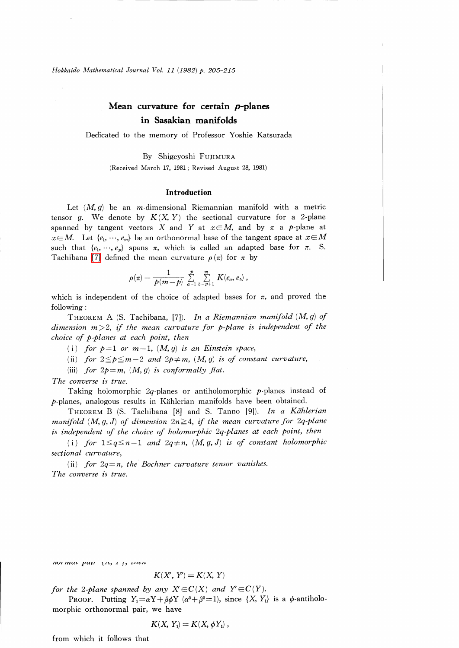Hokkaido Mathematical Journal Vol. 11 (1982) p. 205-215

# Mean curvature for certain  $\bm{p}$ -planes in Sasakian manifolds

Dedicated to the memory of Professor Yoshie Katsurada

By Shigeyoshi FUJIMURA

(Received March 17, 1981; Revised August 28, 1981)

#### Introduction

Let  $(M, g)$  be an *m*-dimensional Riemannian manifold with a metric tensor g. We denote by  $K(X, Y)$  the sectional curvature for a 2-plane spanned by tangent vectors X and Y at  $x\in M$ , and by  $\pi$  a p-plane at  $x\in M$ . Let  $\{e_{1},\dots, e_{m}\}$  be an orthonormal base of the tangent space at  $x\in M$ such that  $\{e_{1},\dots, e_{p}\}$  spans  $\pi$ , which is called an adapted base for  $\pi$ . S. Tachibana [\[7\]](#page-10-0) defined the mean curvature  $\rho(\pi)$  for  $\pi$  by

$$
\rho(\pi) = \frac{1}{p(m-p)} \sum_{a=1}^p \sum_{b=p+1}^m K(e_a, e_b) ,
$$

which is independent of the choice of adapted bases for  $\pi$ , and proved the following :

THEOREM A (S. Tachibana, [7]). In a Riemannian manifold  $(M, g)$  of dimension m>2, if the mean curvature for p-plane is independent of the choice of p-planes at each point, then

(i) for  $p=1$  or  $m-1$ ,  $(M, g)$  is an Einstein space,

(ii) for  $2\leq p\leq m-2$  and  $2p\neq m$ ,  $(M, g)$  is of constant curvature,

(iii) for  $2p=m$ ,  $(M, g)$  is conformally flat.

The converse is true.

Taking holomorphic  $2q$ -planes or antiholomorphic  $p$ -planes instead of  $p$ -planes, analogous results in Kählerian manifolds have been obtained.

THEOREM B (S. Tachibana [8] and S. Tanno [9]). In a Kählerian manifold  $(M, g, J)$  of dimension  $2n\!\geq\! 4$ , if the mean curvature for  $2q\text{-}plane$ is independent of the choice of holomorphic 2q-planes at each point, then

(i) for  $1\leq q\leq n-1$  and  $2q\neq n$ ,  $(M, g, J)$  is of constant holomorphic sectional curvature,

(ii) for  $2q=n$ , the Bochner curvature tensor vanishes. The converse is true.

 $\int_0^\infty I\left(\frac{u}{u}\right)^2 \, du = \int_0^\infty I\left(\frac{u}{u}\right)^2$ 

$$
K(X', Y') = K(X, Y)
$$

for the 2-plane spanned by any  $X' \in C(X)$  and  $Y' \in C(Y)$ .

PROOF. Putting  $Y_{1}=\alpha Y+\beta\phi Y$  ( $\alpha^{2}+\beta^{2}=1$ ), since  $\{X, Y_{1}\}$  is a  $\phi$ -antiholomorphic orthonormal pair, we have

$$
K(X, Y_1) = K(X, \phi Y_1) ,
$$

from which it follows that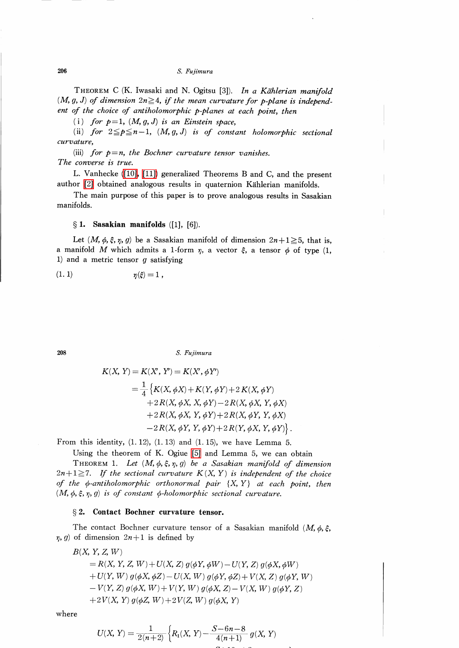S. Fujimura

THEOREM C (K. Iwasaki and N. Ogitsu [3]). In a Kählerian manifold  $(M, g, J)$  of dimension  $2n \geq 4$ , if the mean curvature for p-plane is independent of the choice of antiholomorphic p-planes at each point, then

(i) for  $p=1$ ,  $(M, q, J)$  is an Einstein space,

(ii) for  $2 \leq p \leq n-1$ ,  $(M, g, J)$  is of constant holomorphic sectional curvature,

(iii) for  $p=n$ , the Bochner curvature tensor vanishes. The converse is true.

L. Vanhecke [\(\[10\],](#page-10-1) [\[11\]\)](#page-10-2) generalized Theorems B and C, and the present author [\[2\]](#page-10-3) obtained analogous results in quaternion Kählerian manifolds.

The main purpose of this paper is to prove analogous results in Sasakian manifolds.

### $\S$  1. Sasakian manifolds ([1], [6]).

Let  $(M, \phi, \xi, \eta, g)$  be a Sasakian manifold of dimension  $2n+1\geq 5$ , that is, a manifold M which admits a 1-form  $\eta$ , a vector  $\xi$ , a tensor  $\phi$  of type (1, 1) and a metric tensor  $q$  satisfying

$$
\eta(\xi)=1\ ,
$$

206 S. Fujimura

$$
K(X, Y) = K(X', Y') = K(X', \phi Y')
$$
  
=  $\frac{1}{4}$  { $K(X, \phi X) + K(Y, \phi Y) + 2 K(X, \phi Y)$   
+  $2 R(X, \phi X, X, \phi Y) - 2 R(X, \phi X, Y, \phi X)$   
+  $2 R(X, \phi X, Y, \phi Y) + 2 R(X, \phi Y, Y, \phi X)$   
-  $2 R(X, \phi Y, Y, \phi Y) + 2 R(Y, \phi X, Y, \phi Y)$  }.

From this identity,  $(1. 12)$ ,  $(1. 13)$  and  $(1. 15)$ , we have Lemma 5.

Using the theorem of K. Ogiue [\[5\]](#page-10-4) and Lemma 5, we can obtain

THEOREM 1. Let  $(M, \phi, \xi, \eta, g)$  be a Sasakian manifold of dimension  $2n+1\geq 7$ . If the sectional curvature  $K(X, Y)$  is independent of the choice of the  $\phi$ -antiholomorphic orthonormal pair  $\{X, Y\}$  at each point, then  $(M, \phi, \xi, \eta, g)$  is of constant  $\phi$ -holomorphic sectional curvature.

### \S 2. Contact Bochner curvature tensor.

The contact Bochner curvature tensor of a Sasakian manifold  $(M, \phi, \xi, )$  $\eta$ , g) of dimension  $2n+1$  is defined by

 $B(X, Y, Z, W)$  $= R(X, Y, Z, W) + U(X, Z)g(\phi Y, \phi W) - U(Y, Z)g(\phi X, \phi W)$  $+U(Y, W)g(\phi X, \phi Z)-U(X, W)g(\phi Y, \phi Z)+V(X, Z)g(\phi Y, W)$  $-V(Y, Z)g(\phi X, W) + V(Y, W)g(\phi X, Z) - V(X, W)g(\phi Y, Z)$  $+2 V(X, Y) g(\phi Z, W)+2 V(Z, W) g(\phi X, Y)$ 

where

$$
U(X, Y) = \frac{1}{2(n+2)} \left\{ R_1(X, Y) - \frac{S - 6n - 8}{4(n+1)} g(X, Y) \right\}
$$

$$
\boldsymbol{206}
$$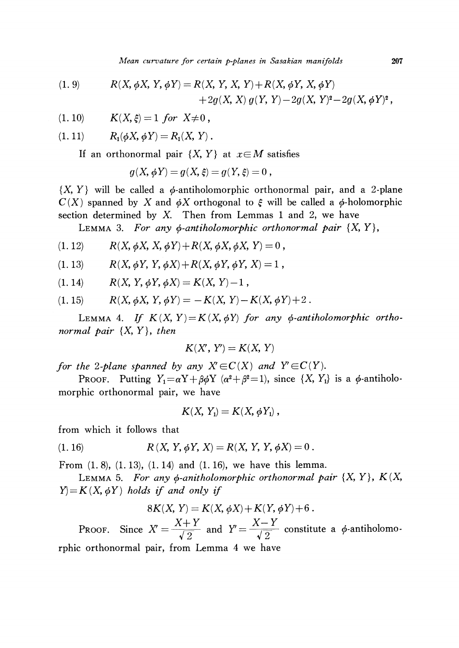Mean curvature for certain p-planes in Sasakian manifolds 207

(1. 9) 
$$
R(X, \phi X, Y, \phi Y) = R(X, Y, X, Y) + R(X, \phi Y, X, \phi Y) + 2g(X, X) g(Y, Y) - 2g(X, Y)^{2} - 2g(X, \phi Y)^{2},
$$

(1. 10)  $K(X, \xi)=1$  for  $X\neq 0$ ,

$$
(1. 11) \t R_1(\phi X, \phi Y) = R_1(X, Y).
$$

If an orthonormal pair  $\{X, Y\}$  at  $x \in M$  satisfies

$$
g(X, \phi Y) = g(X, \xi) = g(Y, \xi) = 0,
$$

 $\{X, Y\}$  will be called a  $\phi$ -antiholomorphic orthonormal pair, and a 2-plane  $C(X)$  spanned by X and  $\phi X$  orthogonal to  $\xi$  will be called a  $\phi$ -holomorphic section determined by  $X$ . Then from Lemmas 1 and 2, we have

LEMMA 3. For any  $\phi$ -antiholomorphic orthonormal pair  $\{X, Y\}$ ,

$$
(1. 12) \t R(X, \phi X, X, \phi Y) + R(X, \phi X, \phi X, Y) = 0,
$$

$$
(1. 13) \t R(X, \phi Y, Y, \phi X) + R(X, \phi Y, \phi Y, X) = 1,
$$

$$
(1. 14) \t R(X, Y, \phi Y, \phi X) = K(X, Y) - 1,
$$

(1. 15) 
$$
R(X, \phi X, Y, \phi Y) = -K(X, Y) - K(X, \phi Y) + 2.
$$

LEMMA 4. If  $K(X, Y) = K(X, \phi Y)$  for any  $\phi$ -antiholomorphic orthonormal pair  $\{X, Y\}$ , then

$$
K(X', Y') = K(X, Y)
$$

for the 2-plane spanned by any  $X'\in C(X)$  and  $Y'\in C(Y)$ .

PROOF. Putting  $Y_{1}=\alpha Y+\beta\phi Y$  ( $\alpha^{2}+\beta^{2}=1$ ), since  $\{X, Y_{1}\}$  is a  $\phi$ -antiholomorphic orthonormal pair, we have

$$
K(X, Y_1) = K(X, \phi Y_1) ,
$$

from which it follows that

(1. 16) 
$$
R(X, Y, \phi Y, X) = R(X, Y, Y, \phi X) = 0.
$$

From  $(1, 8)$ ,  $(1, 13)$ ,  $(1, 14)$  and  $(1, 16)$ , we have this lemma.

LEMMA 5. For any  $\phi$ -anitholomorphic orthonormal pair  $\{X, Y\}$ ,  $K(X, \mathcal{X})$  $Y=K(X, \phi Y)$  holds if and only if

$$
8K(X, Y) = K(X, \phi X) + K(Y, \phi Y) + 6.
$$

PROOF. Since  $X' = \frac{X+Y}{\sqrt{2}}$  and  $Y' = \frac{X-Y}{\sqrt{2}}$  constitute a  $\phi$ -antiholomorphic orthonormal pair, from Lemma 4 we have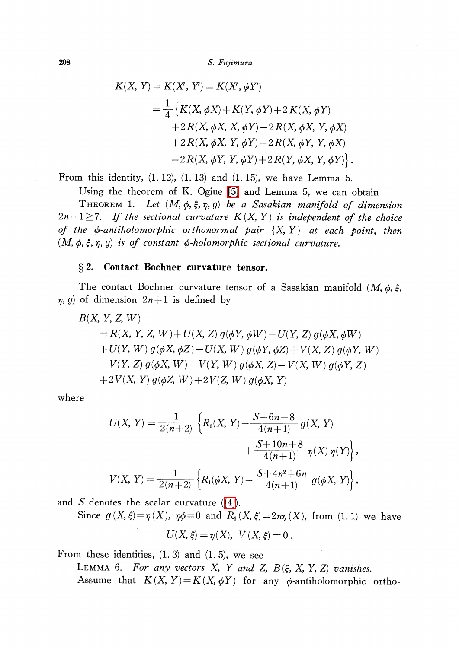208 S. Fujimura

$$
K(X, Y) = K(X', Y') = K(X', \phi Y')
$$
  
=  $\frac{1}{4}$  { $K(X, \phi X) + K(Y, \phi Y) + 2 K(X, \phi Y)$   
+  $2 R(X, \phi X, X, \phi Y) - 2 R(X, \phi X, Y, \phi X)$   
+  $2 R(X, \phi X, Y, \phi Y) + 2 R(X, \phi Y, Y, \phi X)$   
-  $2 R(X, \phi Y, Y, \phi Y) + 2 R(Y, \phi X, Y, \phi Y)$  }.

From this identity,  $(1. 12)$ ,  $(1. 13)$  and  $(1. 15)$ , we have Lemma 5.

Using the theorem of K. Ogiue [\[5\]](#page-10-4) and Lemma 5, we can obtain

THEOREM 1. Let  $(M, \phi, \xi, \eta, g)$  be a Sasakian manifold of dimension  $2n+1\geq 7$ . If the sectional curvature  $K(X, Y)$  is independent of the choice of the  $\phi$ -antiholomorphic orthonormal pair  $\{X, Y\}$  at each point, then  $(M, \phi, \xi, \eta, g)$  is of constant  $\phi$ -holomorphic sectional curvature.

# \S 2. Contact Bochner curvature tensor.

The contact Bochner curvature tensor of a Sasakian manifold  $(M, \phi, \xi, )$  $\eta$ , g) of dimension  $2n+1$  is defined by

$$
B(X, Y, Z, W)
$$
  
= R(X, Y, Z, W) + U(X, Z) g(\phi Y, \phi W) – U(Y, Z) g(\phi X, \phi W)  
+ U(Y, W) g(\phi X, \phi Z) – U(X, W) g(\phi Y, \phi Z) + V(X, Z) g(\phi Y, W)  
- V(Y, Z) g(\phi X, W) + V(Y, W) g(\phi X, Z) – V(X, W) g(\phi Y, Z)  
+ 2V(X, Y) g(\phi Z, W) + 2V(Z, W) g(\phi X, Y)

where

$$
U(X, Y) = \frac{1}{2(n+2)} \left\{ R_1(X, Y) - \frac{S - 6n - 8}{4(n+1)} g(X, Y) + \frac{S + 10n + 8}{4(n+1)} \eta(X) \eta(Y) \right\},
$$
  

$$
V(X, Y) = \frac{1}{2(n+2)} \left\{ R_1(\phi X, Y) - \frac{S + 4n^2 + 6n}{4(n+1)} g(\phi X, Y) \right\},
$$

and S denotes the scalar curvature  $([4])$ .

Since  $g(X, \xi)=\eta(X)$ ,  $\eta\phi=0$  and  $R_{1}(X, \xi)=2n\eta(X)$ , from (1. 1) we have

 $U(X, \xi)=\eta(X), \ V(X, \xi)=0$ .

From these identities,  $(1, 3)$  and  $(1, 5)$ , we see

LEMMA 6. For any vectors X, Y and Z,  $B(\xi, X, Y, Z)$  vanishes. Assume that  $K(X, Y) = K(X, \phi Y)$  for any  $\phi$ -antiholomorphic ortho-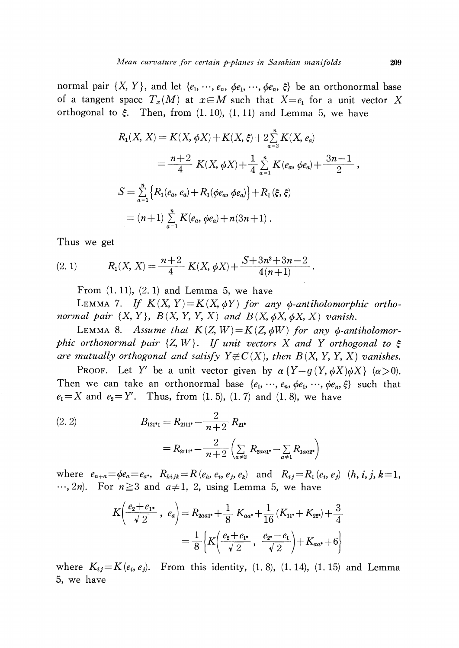normal pair  $\{X, Y\}$ , and let  $\{e_{1}, \dots, e_{n}, \phi e_{1}, \dots, \phi e_{n}, \xi\}$  be an orthonormal base of a tangent space  $T_{x}(M)$  at  $x\in M$  such that  $X=e_{1}$  for a unit vector X orthogonal to  $\xi$ . Then, from  $(1. 10)$ ,  $(1. 11)$  and Lemma 5, we have

$$
R_1(X, X) = K(X, \phi X) + K(X, \xi) + 2\sum_{a=2}^{n} K(X, e_a)
$$
  
=  $\frac{n+2}{4} K(X, \phi X) + \frac{1}{4} \sum_{a=1}^{n} K(e_a, \phi e_a) + \frac{3n-1}{2}$ ,  

$$
S = \sum_{a=1}^{n} \{ R_1(e_a, e_a) + R_1(\phi e_a, \phi e_a) \} + R_1(\xi, \xi)
$$
  
=  $(n+1) \sum_{a=1}^{n} K(e_a, \phi e_a) + n(3n+1)$ .

Thus we get

(2. 1) 
$$
R_1(X, X) = \frac{n+2}{4} K(X, \phi X) + \frac{S+3n^2+3n-2}{4(n+1)}
$$

From  $(1. 11)$ ,  $(2. 1)$  and Lemma 5, we have

LEMMA 7. If  $K(X, Y) = K(X, \phi Y)$  for any  $\phi$ -antiholomorphic orthonormal pair  $\{X, Y\}$ ,  $B(X, Y, Y, X)$  and  $B(X, \phi X, \phi X, X)$  vanish.

LEMMA 8. Assume that  $K(Z, W) = K(Z, \phi W)$  for any  $\phi$ -antiholomorphic orthonormal pair  $\{Z, W\}$ . If unit vectors X and Y orthogonal to  $\xi$ are mutually orthogonal and satisfy  $Y\#C(X)$ , then  $B(X, Y, Y, X)$  vanishes.

PROOF. Let Y' be a unit vector given by  $\alpha \{ Y-g(Y, \phi X)\phi X\} (\alpha>0)$ . Then we can take an orthonormal base  $\{e_{1}, \dots, e_{n}, \phi e_{1}, \dots, \phi e_{n}, \xi\}$  such that  $e_{1}=X$  and  $e_{2}=Y'$ . Thus, from  $(1. 5)$ ,  $(1. 7)$  and  $(1. 8)$ , we have

(2. 2) 
$$
B_{121^{*}1} = R_{2111^{*}} - \frac{2}{n+2} R_{21^{*}} = R_{2111^{*}} - \frac{2}{n+2} \left( \sum_{a \neq 2} R_{2aa1^{*}} - \sum_{a \neq 1} R_{1aa2^{*}} \right)
$$

where  $e_{n+a}=\phi e_{a}=e_{a^*}$ ,  $R_{hijk}=R(e_{h}, e_{i}, e_{j}, e_{k})$  and  $R_{ij}=R_{1}(e_{i}, e_{j})$   $(h, i, j, k=1,$  $\ldots$ , 2n). For  $n \geq 3$  and  $a \neq 1$ , 2, using Lemma 5, we have

$$
K\left(\frac{e_2+e_{1^*}}{\sqrt{2}}, e_a\right) = R_{2aa1^*} + \frac{1}{8} K_{aa^*} + \frac{1}{16} (K_{11^*} + K_{22^*}) + \frac{3}{4}
$$

$$
= \frac{1}{8} \left\{ K\left(\frac{e_2+e_{1^*}}{\sqrt{2}}, \frac{e_{2^*}-e_1}{\sqrt{2}}\right) + K_{aa^*} + 6 \right\}
$$

where  $K_{ij}=K(e_{i}, e_{j})$ . From this identity,  $(1, 8)$ ,  $(1, 14)$ ,  $(1, 15)$  and Lemma 5, we have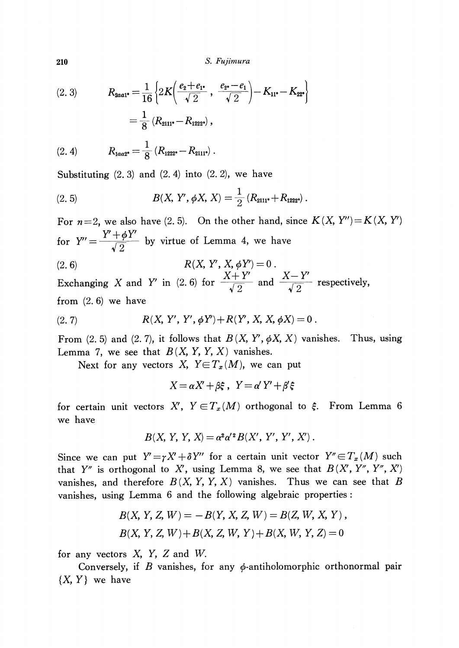210 S. Fujimura

(2. 3) 
$$
R_{2aa1^*} = \frac{1}{16} \left\{ 2K \left( \frac{e_2 + e_{1^*}}{\sqrt{2}}, \frac{e_{2^*} - e_1}{\sqrt{2}} \right) - K_{11^*} - K_{22^*} \right\}
$$

$$
= \frac{1}{8} \left( R_{2111^*} - R_{1222^*} \right),
$$

$$
(2. 4) \t R_{1aa2^*} = \frac{1}{8} (R_{1222^*} - R_{2111^*}) .
$$

Substituting  $(2, 3)$  and  $(2, 4)$  into  $(2, 2)$ , we have

(2.5) 
$$
B(X, Y', \phi X, X) = \frac{1}{2} (R_{2111^*} + R_{1222^*}) .
$$

For  $n=2$ , we also have (2.5). On the other hand, since  $K(X, Y'')=K(X, Y')$ for  $Y'' = \frac{Y'+\phi Y'}{\sqrt{2}}$  by virtue of Lemma 4, we have

(2.6) 
$$
R(X, Y', X, \phi Y') = 0.
$$

$$
Y + Y' = Y'
$$

Exchanging X and Y' in (2.6) for  $\frac{X+Y'}{\sqrt{2}}$  and  $\frac{X-Y'}{\sqrt{2}}$  respectively, from  $(2, 6)$  we have

(2. 7) 
$$
R(X, Y', Y', \phi Y') + R(Y', X, X, \phi X) = 0.
$$

From (2. 5) and (2. 7), it follows that  $B(X, Y', \phi X, X)$  vanishes. Thus, using Lemma 7, we see that  $B(X, Y, Y, X)$  vanishes.

Next for any vectors X,  $Y \in T_{x}(M)$ , we can put

$$
X = \alpha X' + \beta \xi \,, \ \ Y = \alpha' Y' + \beta' \xi
$$

for certain unit vectors  $X'$ ,  $Y\!\in\! T_{x}(M)$  orthogonal to  $\xi$ . From Lemma 6 we have

$$
B(X, Y, Y, X) = \alpha^2 \alpha^2 B(X', Y', Y', X') .
$$

Since we can put  $Y'=\gamma X'+\delta Y''$  for a certain unit vector  $Y''\in T_{x}(M)$  such that Y" is orthogonal to X', using Lemma 8, we see that  $B(X', Y'', Y'', X')$ vanishes, and therefore  $B(X, Y, Y, X)$  vanishes. Thus we can see that B vanishes, using Lemma 6 and the following algebraic properties:

$$
B(X, Y, Z, W) = -B(Y, X, Z, W) = B(Z, W, X, Y),
$$
  
 
$$
B(X, Y, Z, W) + B(X, Z, W, Y) + B(X, W, Y, Z) = 0
$$

for any vectors  $X$ ,  $Y$ ,  $Z$  and  $W$ .

Conversely, if B vanishes, for any  $\phi$ -antiholomorphic orthonormal pair  $\{X, Y\}$  we have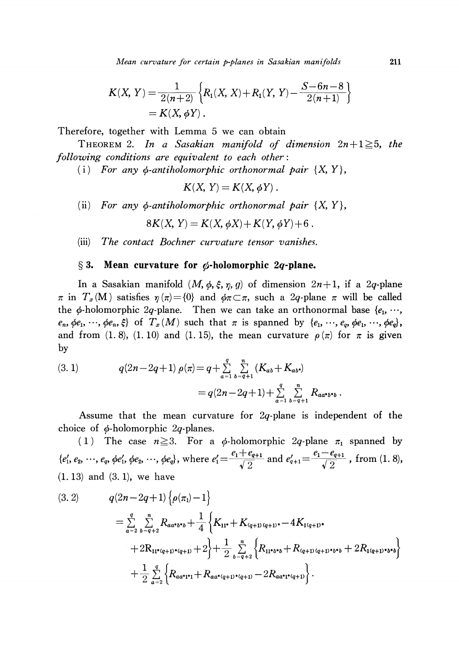Mean curvature for certain p-planes in Sasakian manifolds <sup>211</sup>

$$
K(X, Y) = \frac{1}{2(n+2)} \left\{ R_1(X, X) + R_1(Y, Y) - \frac{S - 6n - 8}{2(n+1)} \right\}
$$
  
=  $K(X, \phi Y)$ .

Therefore, together with Lemma 5 we can obtain

<span id="page-6-0"></span>THEOREM 2. In a Sasakian manifold of dimension  $2n+1\geq 5$ , the following conditions are equivalent to each other:

(i) For any  $\phi$ -antiholomorphic orthonormal pair  $\{X, Y\}$ ,

$$
K(X, Y) = K(X, \phi Y).
$$

(ii) For any  $\phi$ -antiholomorphic orthonormal pair  $\{X, Y\}$ ,

$$
8K(X, Y) = K(X, \phi X) + K(Y, \phi Y) + 6
$$

(iii) The contact Bochner curvature tensor vanishes.

## $\S 3.$  Mean curvature for  $\phi$ -holomorphic 2q-plane.

In a Sasakian manifold  $(M, \phi, \xi, \eta, g)$  of dimension  $2n+1$ , if a 2q-plane  $\pi$  in  $T_{x}(M)$  satisfies  $\eta(\pi)=\{0\}$  and  $\phi\pi\subset\pi$ , such a 2q-plane  $\pi$  will be called the  $\phi$ -holomorphic 2q-plane. Then we can take an orthonormal base  $\{e_{1}, \, \cdots,$  $e_{n}$ ,  $\phi e_{1}$ ,  $\cdots$ ,  $\phi e_{n}$ ,  $\xi$  of  $T_{x}(M)$  such that  $\pi$  is spanned by  $\{e_{1},\ldots,$   $e_{q}, \phi e_{1},\ldots, \phi e_{q}\}$ , and from (1.8), (1.10) and (1.15), the mean curvature  $\rho(\pi)$  for  $\pi$  is given by

(3. 1) 
$$
q(2n-2q+1) \rho(\pi) = q + \sum_{a=1}^{q} \sum_{b=q+1}^{n} (K_{ab} + K_{ab})
$$

$$
= q(2n-2q+1) + \sum_{a=1}^{q} \sum_{b=q+1}^{n} R_{aa \cdot b \cdot b}
$$

Assume that the mean curvature for 2q-plane is independent of the choice of  $\phi$ -holomorphic 2q-planes.

(1) The case  $n \geq 3$ . For a  $\phi$ -holomorphic 2q-plane  $\pi_{1}$  spanned by  $\{e'_{1}, e_{2}, \cdots, e_{q}, \phi e'_{1}, \phi e_{2}, \cdots, \phi e_{q}\}, \text{ where } e_{1}' = \frac{e_{1}+e_{q+1}}{\sqrt{2}} \text{ and } e_{q+1}' = \frac{e_{1}-e_{q+1}}{\sqrt{2}}$ , from (1. 8), (1. 13) and (3. 1), we have

$$
(3.2) \qquad q(2n-2q+1)\left\{\rho(\pi_1)-1\right\}
$$
  
=  $\sum_{a=2}^{q} \sum_{b=q+2}^{n} R_{aa^b b^b} + \frac{1}{4} \left\{K_{11^*} + K_{(q+1)(q+1)^*} - 4K_{1(q+1)^*} + 2R_{11^*(q+1)^*(q+1)} + 2\right\} + \frac{1}{2} \sum_{b=q+2}^{n} \left\{R_{11^*b^*b} + R_{(q+1)(q+1)^*b^*b} + 2R_{1(q+1)^*b^*b}\right\}$   
+  $\frac{1}{2} \sum_{a=2}^{q} \left\{R_{aa^*1^*1} + R_{aa^*(q+1)^*(q+1)} - 2R_{aa^*1^*(q+1)}\right\}.$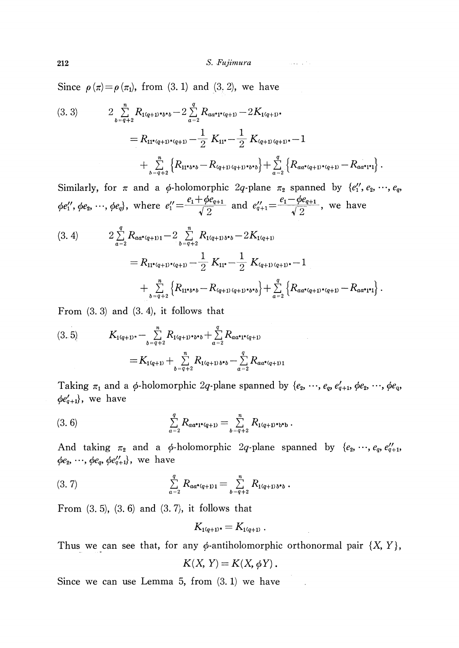Since  $\rho(\pi)=\rho(\pi_{1})$ , from (3. 1) and (3. 2), we have

$$
(3.3) \qquad 2 \sum_{b=q+2}^{n} R_{1(q+1)*b*} - 2 \sum_{a=2}^{q} R_{aa*1*(q+1)} - 2K_{1(q+1)*}
$$
  
=  $R_{11*(q+1)*(q+1)} - \frac{1}{2} K_{11*} - \frac{1}{2} K_{(q+1)(q+1)*} - 1$   
+  $\sum_{b=q+2}^{n} \left\{ R_{11*(b*} - R_{(q+1)(q+1)*b*} \right\} + \sum_{a=2}^{q} \left\{ R_{aa*(q+1)*(q+1)} - R_{aa*1*1} \right\}.$ 

Similarly, for  $\pi$  and a  $\phi$ -holomorphic 2q-plane  $\pi_{2}$  spanned by  $\{e_{1}'', e_{2}, \cdots, e_{q},\}$  $\phi e_{1}'', \phi e_{2}, \dots, \phi e_{q}$ , where  $e_{1}' = \frac{e_{1} + \phi e_{q+1}}{\sqrt{2}}$  and  $e_{q+1}' = \frac{e_{1} - \phi e_{q+1}}{\sqrt{2}}$ , we have

$$
(3. 4) \qquad 2 \sum_{a=2}^{q} R_{aa^*(q+1)1} - 2 \sum_{b=q+2}^{n} R_{1(q+1)b^*b} - 2K_{1(q+1)} = R_{11^*(q+1)^*(q+1)} - \frac{1}{2} K_{11^*} - \frac{1}{2} K_{(q+1)(q+1)^*} - 1 + \sum_{b=q+2}^{n} \left\{ R_{11^*b^*b} - R_{(q+1)(q+1)^*b^*b} \right\} + \sum_{a=2}^{q} \left\{ R_{aa^*(q+1)^*(q+1)} - R_{aa^*1^*1} \right\}.
$$

From  $(3.3)$  and  $(3.4)$ , it follows that

$$
(3.5) \t K_{1(q+1)*} - \sum_{b=q+2}^{n} R_{1(q+1)*b*b} + \sum_{a=2}^{q} R_{aa*t*(q+1)} = K_{1(q+1)} + \sum_{b=q+2}^{n} R_{1(q+1)b*b} - \sum_{a=2}^{q} R_{aa*(q+1)1}
$$

Taking  $\pi_{1}$  and a  $\phi$ -holomorphic 2q-plane spanned by  $\{e_{2}, \ldots, e_{q}, e_{q+1}', \phi e_{2}, \ldots, \phi e_{q},\}$  $\phi e_{q+1}'\rangle,$  we have

(3. 6) 
$$
\sum_{a=2}^{q} R_{aa^*1^*(q+1)} = \sum_{b=q+2}^{n} R_{1(q+1)^*b^*b}.
$$

And taking  $\pi_{2}$  and a  $\phi$ -holomorphic 2q-plane spanned by  $\{e_{2}, \ldots, e_{q}, e_{q+1}' ,\}$  $\phi e_{2}, \, \cdots, \, \phi e_{q}, \, \phi e_{q+1}'\rangle, \,$  we have

$$
(3.7) \qquad \qquad \sum_{a=2}^q R_{aa^*(q+1)1} = \sum_{b=q+2}^n R_{1(q+1)b^*b} \ .
$$

From  $(3, 5)$ ,  $(3, 6)$  and  $(3, 7)$ , it follows that

$$
K_{1(q+1)^*}=K_{1(q+1)^-}
$$

Thus we can see that, for any  $\phi$ -antiholomorphic orthonormal pair  $\{X, Y\}$ ,

$$
K(X, Y) = K(X, \phi Y).
$$

Since we can use Lemma 5, from (3. 1) we have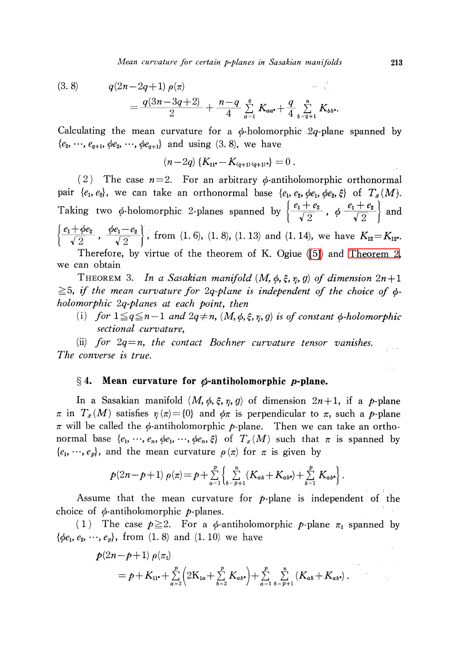(3.8) 
$$
q(2n-2q+1) \rho(\pi) = \frac{q(3n-3q+2)}{2} + \frac{n-q}{4} \sum_{a=1}^{q} K_{aa^*} + \frac{q}{4} \sum_{b=q+1}^{n} K_{bb^*}
$$

Calculating the mean curvature for a  $\phi$ -holomorphic  $2q$ -plane spanned by  $\{e_{2}, \ldots, e_{q+1}, \phi e_{2}, \ldots, \phi e_{q+1}\}$  and using (3. 8), we have

 $(n-2q)\{K_{11^{*}}-K_{(q+1)(q+1)^{*}}\}=0$ .

(2) The case  $n=2$ . For an arbitrary  $\phi$ -antiholomorphic orthonormal pair  $\{e_{1}, e_{2}\}$ , we can take an orthonormal base  $\{e_{1}, e_{2}, \phi e_{1}, \phi e_{2}, \xi\}$  of  $T_{x}(M)$ . Taking two  $\phi$ -holomorphic 2-planes spanned by  $\{\frac{e_{1}+e_{2}}{\sqrt{2}}, \phi \frac{e_{1}+e_{2}}{\sqrt{2}}\}$  and  $\{\frac{\ell_{1}+\varphi_{2}}{\sqrt{2}}, \frac{\varphi_{1}-\ell_{2}}{\sqrt{2}}\}$ , from (1. 6), (1. 8), (1. 13) and (1. 14), we have  $K_{12}=K_{12^{s}}$ .

Therefore, by virtue of the theorem of K. Ogiue [\(\[5\]\)](#page-10-4) and [Theorem](#page-6-0) 2, we can obtain

THEOREM 3. In a Sasakian manifold  $(M, \phi, \xi, \eta, g)$  of dimension  $2n+1$  $\geq$  5, if the mean curvature for 2q-plane is independent of the choice of  $\phi$ holomorphic 2q-planes at each point, then

(i) for  $1\leq q\leq n-1$  and  $2q\neq n$ ,  $(M, \phi, \xi, \eta, g)$  is of constant  $\phi$ -holomorphic sectional curvature,

(ii) for  $2q=n$ , the contact Bochner curvature tensor vanishes.  $\hat{u}_1$  is  $\hat{u}_2$ The converse is true.

### $\S 4.$  Mean curvature for  $\phi$ -antiholomorphic p-plane.

In a Sasakian manifold  $(M, \phi, \xi, \eta, g)$  of dimension  $2n+1$ , if a p-plane  $\pi$  in  $T_{x}(M)$  satisfies  $\eta(\pi)=\{0\}$  and  $\phi\pi$  is perpendicular to  $\pi$ , such a p-plane  $\pi$  will be called the  $\phi$ -antiholomorphic p-plane. Then we can take an orthonormal base  $\{e_{1}, \dots, e_{n}, \phi e_{1}, \dots, \phi e_{n}, \xi\}$  of  $T_{x}(M)$  such that  $\pi$  is spanned by  $\{e_{1}, \dots, e_{p}\}$ , and the mean curvature  $\rho(\pi)$  for  $\pi$  is given by

$$
p(2n-p+1)\;\rho(\pi)=p+\sum_{a=1}^p\left\{\sum_{b=p+1}^n(K_{ab}+K_{ab*})+\sum_{b=1}^p K_{ab*}\right\}.
$$

Assume that the mean curvature for  $p$ -plane is independent of the choice of  $\phi$ -antiholomorphic p-planes.

(1) The case  $p\geq 2$ . For a  $\phi$ -antiholomorphic p-plane  $\pi_{1}$  spanned by  $\{\phi e_{1}, e_{2}, \, \cdots, \, e_{p}\}$ , from  $(1, \, 8)$  and  $(1, \, 10)$  we have

$$
p(2n-p+1) \rho(\pi_1)
$$
  
=  $p+K_{11^*}+\sum_{a=2}^p \left(2K_{1a}+\sum_{b=2}^p K_{ab^*}\right)+\sum_{a=1}^p \sum_{b=p+1}^n \left(K_{ab}+K_{ab^*}\right).$ 

ingen.<br>Provinsi

.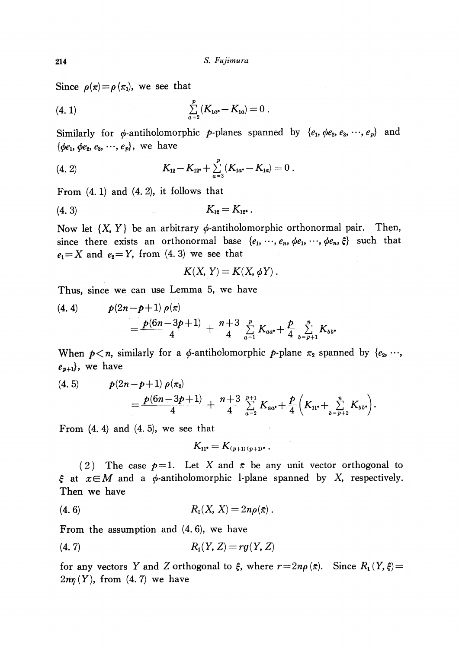Since  $\rho(\pi)=\rho(\pi_{1})$ , we see that

(4. 1) 
$$
\sum_{a=2}^{p} (K_{1a^*} - K_{1a}) = 0
$$

Similarly for  $\phi$ -antiholomorphic p-planes spanned by  $\{e_{1}, \phi e_{2}, e_{3}, \cdots, e_{p}\}$  and  $\{\phi e_{1},\,\phi e_{2},\,e_{3},\,\cdots ,\,e_{p}\} ,\,$  we have

(4. 2) 
$$
K_{12} - K_{12^*} + \sum_{a=3}^{p} (K_{1a^*} - K_{1a}) = 0
$$

From  $(4. 1)$  and  $(4. 2)$ , it follows that

$$
(4.3) \t K_{12} = K_{12^*}.
$$

Now let  $\{X, Y\}$  be an arbitrary  $\phi$ -antiholomorphic orthonormal pair. Then, since there exists an orthonormal base  $\{e_{1},\ldots, e_{n}, \phi e_{1}, \ldots, \phi e_{n}, \xi\}$  such that  $e_{1}=X$  and  $e_{2}=Y$ , from (4. 3) we see that

$$
K(X, Y) = K(X, \phi Y).
$$

Thus, since we can use Lemma 5, we have

(4. 4) 
$$
p(2n-p+1) \rho(\pi) = \frac{p(6n-3p+1)}{4} + \frac{n+3}{4} \sum_{a=1}^{p} K_{aa^*} + \frac{p}{4} \sum_{b=p+1}^{n} K_{bb^*}
$$

When  $p < n$ , similarly for a  $\phi$ -antiholomorphic p-plane  $\pi_{2}$  spanned by  $\{e_{2}, \ldots,$  $e_{p+1}\},$  we have

(4. 5) 
$$
p(2n-p+1) \rho(\pi_2) = \frac{p(6n-3p+1)}{4} + \frac{n+3}{4} \sum_{a=2}^{p+1} K_{aa^*} + \frac{p}{4} \left( K_{11^*} + \sum_{b=p+2}^n K_{bb^*} \right).
$$

From  $(4, 4)$  and  $(4, 5)$ , we see that

$$
K_{11^*}=K_{(p+1)(p+1)^*}.
$$

(2) The case  $p=1$ . Let X and  $\overline{\pi}$  be any unit vector orthogonal to  $\xi$  at  $x\in M$  and a  $\phi$ -antiholomorphic 1-plane spanned by X, respectively. Then we have

(4.6) 
$$
R_1(X, X) = 2n\rho(\bar{\pi}).
$$

From the assumption and (4. 6), we have

(4. 7) 
$$
R_1(Y, Z) = rg(Y, Z)
$$

for any vectors Y and Z orthogonal to  $\xi$ , where  $r=2n\rho(\bar{\pi})$ . Since  $R_{1} ( Y, \xi)=$  $2n\eta ( Y),$  from (4.7) we have